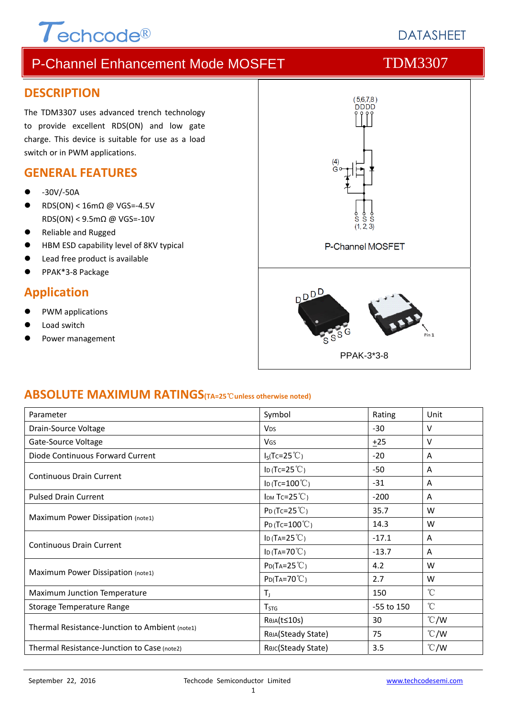# $\tau$ echcode®

# **DATASHEET**

# P-Channel Enhancement Mode MOSFET TDM3307

#### **DESCRIPTION**

The TDM3307 uses advanced trench technology to provide excellent RDS(ON) and low gate charge. This device is suitable for use as a load switch or in PWM applications.

#### **GENERAL FEATURES**

- ‐30V/‐50A
- RDS(ON) < 16mΩ @ VGS=‐4.5V RDS(ON) < 9.5mΩ @ VGS=‐10V
- Reliable and Rugged
- HBM ESD capability level of 8KV typical
- Lead free product is available
- PPAK\*3‐8 Package

#### **Application**

- PWM applications
- Load switch
- Power management



#### **ABSOLUTE MAXIMUM RATINGS(TA=25**℃**unless otherwise noted)**

| Parameter                                      | Symbol                   | Rating     | Unit          |  |
|------------------------------------------------|--------------------------|------------|---------------|--|
| Drain-Source Voltage                           | <b>V<sub>DS</sub></b>    | $-30$      | v             |  |
| Gate-Source Voltage                            | <b>V<sub>GS</sub></b>    | $+25$      | v             |  |
| Diode Continuous Forward Current               | $I_S(Tc=25^{\circ}C)$    | $-20$      | A             |  |
| <b>Continuous Drain Current</b>                | ID (Tc=25 $°C$ )         | $-50$      | A             |  |
|                                                | ID (Tc= $100^{\circ}$ C) | $-31$      | A             |  |
| <b>Pulsed Drain Current</b>                    | IDM TC= $25^{\circ}$ C)  | $-200$     | A             |  |
|                                                | $P_D(Tc=25^{\circ}C)$    | 35.7       | w             |  |
| Maximum Power Dissipation (note1)              | $P_{D}$ (Tc=100 $°C$ )   | 14.3       | W             |  |
|                                                | ID (TA= $25^{\circ}$ C)  | $-17.1$    | A             |  |
| <b>Continuous Drain Current</b>                | ID (TA=70 $°C$ )         | $-13.7$    | A             |  |
|                                                | $P_{D}(Ta=25^{\circ}C)$  | 4.2        | W             |  |
| Maximum Power Dissipation (note1)              | $P_{D}(Ta=70^{\circ}C)$  | 2.7        | W             |  |
| <b>Maximum Junction Temperature</b>            | $T_1$                    | 150        | $^{\circ}$ C  |  |
| Storage Temperature Range                      | T <sub>STG</sub>         | -55 to 150 | $\mathrm{C}$  |  |
|                                                | RejA(t≤10s)              | 30         | $\degree$ C/W |  |
| Thermal Resistance-Junction to Ambient (note1) | ReJA(Steady State)       | 75         | $\degree$ C/W |  |
| Thermal Resistance-Junction to Case (note2)    | Rouc(Steady State)       | 3.5        | $\degree$ C/W |  |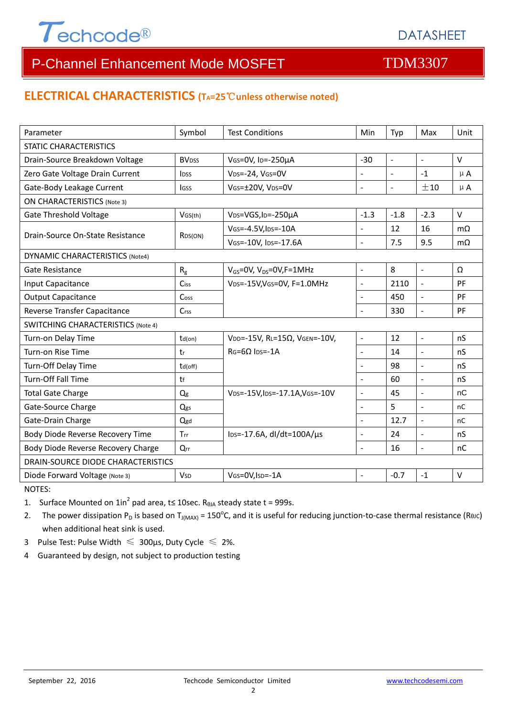

# P-Channel Enhancement Mode MOSFET TOM3307

#### **ELECTRICAL CHARACTERISTICS (TA=25**℃**unless otherwise noted)**

| Parameter                                 | Symbol                   | <b>Test Conditions</b>                       | Min                      | Typ                 | Max                      | Unit         |  |  |
|-------------------------------------------|--------------------------|----------------------------------------------|--------------------------|---------------------|--------------------------|--------------|--|--|
| <b>STATIC CHARACTERISTICS</b>             |                          |                                              |                          |                     |                          |              |  |  |
| Drain-Source Breakdown Voltage            | <b>BV</b> <sub>DSS</sub> | VGS=0V, ID=-250µA                            | $-30$                    | $\blacksquare$      | $\overline{a}$           | $\vee$       |  |  |
| Zero Gate Voltage Drain Current           | <b>IDSS</b>              | VDS=-24, VGS=0V                              | $\overline{a}$           | $\overline{a}$      | $-1$                     | $\mu$ A      |  |  |
| Gate-Body Leakage Current                 | <b>IGSS</b>              | VGS=±20V, VDS=0V                             | $\bar{\phantom{a}}$      | $\bar{\phantom{a}}$ | ±10                      | $\mu$ A      |  |  |
| <b>ON CHARACTERISTICS (Note 3)</b>        |                          |                                              |                          |                     |                          |              |  |  |
| <b>Gate Threshold Voltage</b>             | VGS(th)                  | V <sub>DS</sub> =VGS, I <sub>D</sub> =-250µA | $-1.3$                   | $-1.8$              | $-2.3$                   | $\vee$       |  |  |
| Drain-Source On-State Resistance          | RDS(ON)                  | VGS=-4.5V, IDS=-10A                          | $\sim$                   | 12                  | 16                       | $m\Omega$    |  |  |
|                                           |                          | VGS=-10V, IDS=-17.6A                         | $\overline{a}$           | 7.5                 | 9.5                      | $m\Omega$    |  |  |
| <b>DYNAMIC CHARACTERISTICS (Note4)</b>    |                          |                                              |                          |                     |                          |              |  |  |
| Gate Resistance                           | $R_{\rm g}$              | $V_{GS}$ =0V, V <sub>DS</sub> =0V, F=1MHz    | $\blacksquare$           | 8                   | $\mathbb{L}$             | Ω            |  |  |
| Input Capacitance                         | Ciss                     | VDS=-15V, VGS=0V, F=1.0MHz                   | $\bar{\phantom{a}}$      | 2110                | $\frac{1}{2}$            | PF           |  |  |
| <b>Output Capacitance</b>                 | Coss                     |                                              |                          | 450                 | $\blacksquare$           | PF           |  |  |
| Reverse Transfer Capacitance              | Crss                     |                                              | $\overline{a}$           | 330                 | $\overline{\phantom{a}}$ | PF           |  |  |
| <b>SWITCHING CHARACTERISTICS (Note 4)</b> |                          |                                              |                          |                     |                          |              |  |  |
| Turn-on Delay Time                        | $td($ on $)$             | VDD=-15V, RL=15Ω, VGEN=-10V,                 | $\frac{1}{2}$            | 12                  | $\overline{a}$           | nS           |  |  |
| Turn-on Rise Time                         | tr                       | $RG = 6Q$ lps=-1A                            | $\blacksquare$           | 14                  | $\overline{a}$           | nS           |  |  |
| Turn-Off Delay Time                       | td(off)                  |                                              | $\overline{a}$           | 98                  | $\blacksquare$           | nS           |  |  |
| <b>Turn-Off Fall Time</b>                 | tf                       |                                              | $\sim$                   | 60                  | $\overline{a}$           | nS           |  |  |
| <b>Total Gate Charge</b>                  | Q <sub>g</sub>           | VDS=-15V, IDS=-17.1A, VGS=-10V               | $\overline{\phantom{a}}$ | 45                  | $\overline{\phantom{a}}$ | nC           |  |  |
| Gate-Source Charge                        | Qgs                      |                                              | $\overline{a}$           | 5                   | $\overline{a}$           | nC           |  |  |
| Gate-Drain Charge                         | Qgd                      |                                              | $\overline{a}$           | 12.7                | $\overline{a}$           | nC           |  |  |
| Body Diode Reverse Recovery Time          | <b>Trr</b>               | $\text{los}$ =-17.6A, dl/dt=100A/ $\mu$ s    | $\overline{a}$           | 24                  | $\overline{a}$           | nS           |  |  |
| Body Diode Reverse Recovery Charge        | Qrr                      |                                              | $\sim$                   | 16                  | $\blacksquare$           | nC           |  |  |
| DRAIN-SOURCE DIODE CHARACTERISTICS        |                          |                                              |                          |                     |                          |              |  |  |
| Diode Forward Voltage (Note 3)            | <b>V<sub>SD</sub></b>    | VGS=0V, ISD=-1A                              |                          | $-0.7$              | $-1$                     | $\mathsf{V}$ |  |  |

NOTES:

1. Surface Mounted on  $1in^2$  pad area, t≤ 10sec. R<sub>0JA</sub> steady state t = 999s.

2. The power dissipation P<sub>D</sub> is based on T<sub>J(MAX)</sub> = 150<sup>o</sup>C, and it is useful for reducing junction-to-case thermal resistance (ReJC) when additional heat sink is used.

- 3 Pulse Test: Pulse Width  $\leq 300$ μs, Duty Cycle  $\leq 2\%$ .
- 4 Guaranteed by design, not subject to production testing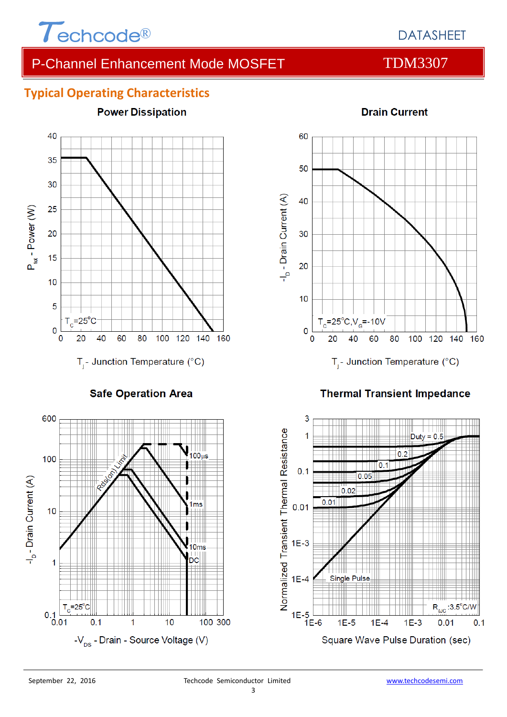

# DATASHEET

# P-Channel Enhancement Mode MOSFET TDM3307

### **Typical Operating Characteristics**



**Safe Operation Area** 





#### **Thermal Transient Impedance**



#### **Drain Current**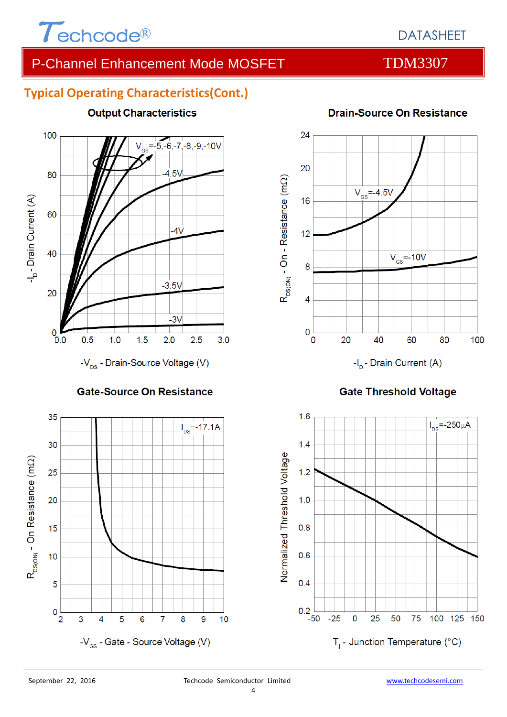

# DATASHEET

# P-Channel Enhancement Mode MOSFET TDM3307

### **Typical Operating Characteristics(Cont.)**







# **Drain-Source On Resistance**



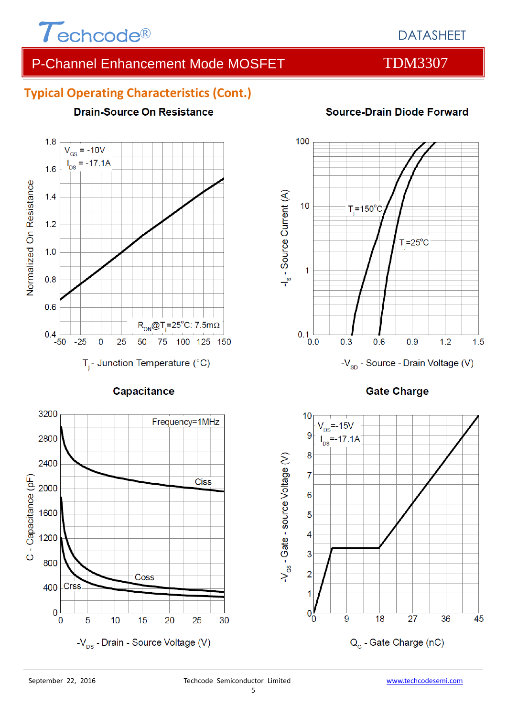

# DATASHEET

# P-Channel Enhancement Mode MOSFET TDM3307

### **Typical Operating Characteristics (Cont.)**

**Drain-Source On Resistance** 

#### $1.8$  $V_{GS}$  = -10V  $I_{DS} = -17.1A$  $1.6$ Normalized On Resistance  $1.4$  $1.2$  $1.0$  $0.8$  $0.6$  $R_{ON}$ @T<sub>i</sub>=25°C: 7.5m $\Omega$  $0.4$ -50  $-25$  $\overline{0}$ 25 50 75 100 125 150  $T_i$ - Junction Temperature (°C)

Capacitance





-V<sub>sp</sub> - Source - Drain Voltage (V)

**Gate Charge** 



### **Source-Drain Diode Forward**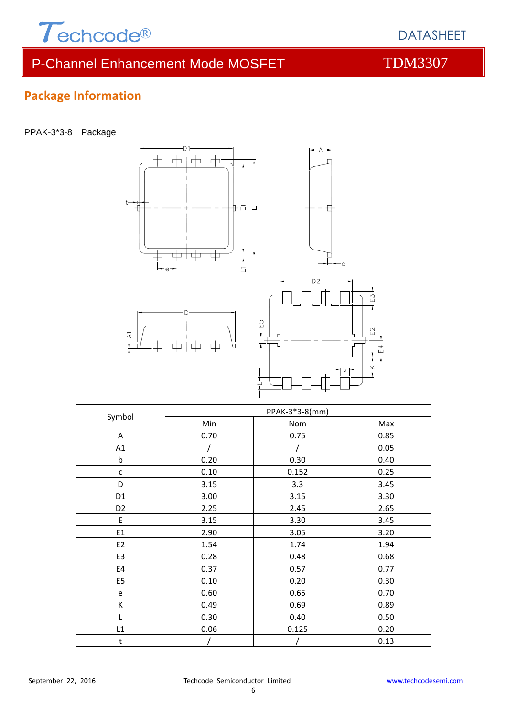

# P-Channel Enhancement Mode MOSFET TDM3307

# **Package Information**

PPAK-3\*3-8 Package



| Symbol         | PPAK-3*3-8(mm) |       |      |  |
|----------------|----------------|-------|------|--|
|                | Min            | Nom   | Max  |  |
| A              | 0.70           | 0.75  | 0.85 |  |
| A1             |                |       | 0.05 |  |
| $\mathsf b$    | 0.20           | 0.30  | 0.40 |  |
| C              | 0.10           | 0.152 | 0.25 |  |
| D              | 3.15           | 3.3   | 3.45 |  |
| D <sub>1</sub> | 3.00           | 3.15  | 3.30 |  |
| D <sub>2</sub> | 2.25           | 2.45  | 2.65 |  |
| E              | 3.15           | 3.30  | 3.45 |  |
| E1             | 2.90           | 3.05  | 3.20 |  |
| E <sub>2</sub> | 1.54           | 1.74  | 1.94 |  |
| E <sub>3</sub> | 0.28           | 0.48  | 0.68 |  |
| E4             | 0.37           | 0.57  | 0.77 |  |
| E <sub>5</sub> | 0.10           | 0.20  | 0.30 |  |
| e              | 0.60           | 0.65  | 0.70 |  |
| К              | 0.49           | 0.69  | 0.89 |  |
| L              | 0.30           | 0.40  | 0.50 |  |
| L1             | 0.06           | 0.125 | 0.20 |  |
| t              |                |       | 0.13 |  |

DATASHEET